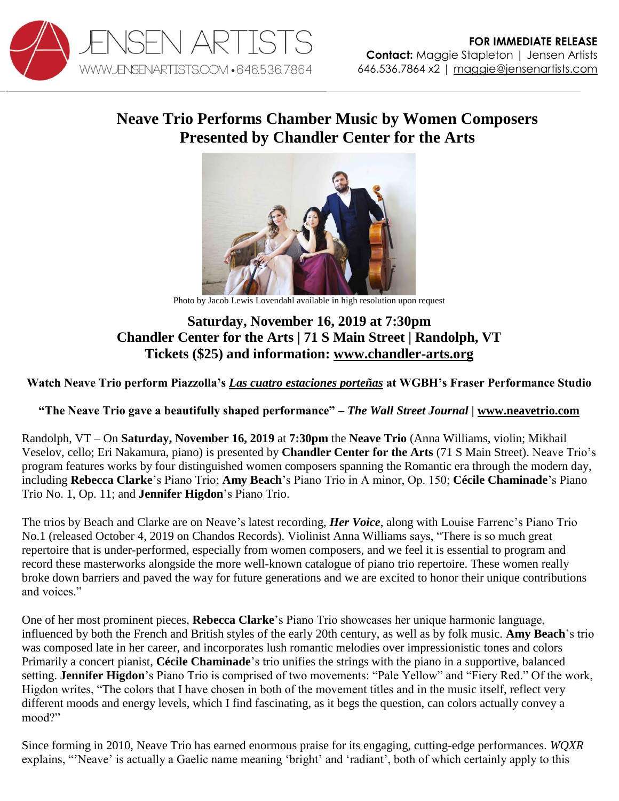

## **Neave Trio Performs Chamber Music by Women Composers Presented by Chandler Center for the Arts**



Photo by Jacob Lewis Lovendahl available in high resolution upon request

## **Saturday, November 16, 2019 at 7:30pm Chandler Center for the Arts | 71 S Main Street | Randolph, VT Tickets (\$25) and information: [www.chandler-arts.org](http://www.chandler-arts.org/)**

**Watch Neave Trio perform Piazzolla's** *[Las cuatro estaciones porteñas](https://youtu.be/Xs3a6h4OV-E)* **at WGBH's Fraser Performance Studio**

**"The Neave Trio gave a beautifully shaped performance"** *– The Wall Street Journal |* **[www.neavetrio.com](http://www.neavetrio.com/)**

Randolph, VT – On **Saturday, November 16, 2019** at **7:30pm** the **Neave Trio** (Anna Williams, violin; Mikhail Veselov, cello; Eri Nakamura, piano) is presented by **Chandler Center for the Arts** (71 S Main Street). Neave Trio's program features works by four distinguished women composers spanning the Romantic era through the modern day, including **Rebecca Clarke**'s Piano Trio; **Amy Beach**'s Piano Trio in A minor, Op. 150; **Cécile Chaminade**'s Piano Trio No. 1, Op. 11; and **Jennifer Higdon**'s Piano Trio.

The trios by Beach and Clarke are on Neave's latest recording, *Her Voice*, along with Louise Farrenc's Piano Trio No.1 (released October 4, 2019 on Chandos Records). Violinist Anna Williams says, "There is so much great repertoire that is under-performed, especially from women composers, and we feel it is essential to program and record these masterworks alongside the more well-known catalogue of piano trio repertoire. These women really broke down barriers and paved the way for future generations and we are excited to honor their unique contributions and voices."

One of her most prominent pieces, **Rebecca Clarke**'s Piano Trio showcases her unique harmonic language, influenced by both the French and British styles of the early 20th century, as well as by folk music. **Amy Beach**'s trio was composed late in her career, and incorporates lush romantic melodies over impressionistic tones and colors Primarily a concert pianist, **Cécile Chaminade**'s trio unifies the strings with the piano in a supportive, balanced setting. **Jennifer Higdon**'s Piano Trio is comprised of two movements: "Pale Yellow" and "Fiery Red." Of the work, Higdon writes, "The colors that I have chosen in both of the movement titles and in the music itself, reflect very different moods and energy levels, which I find fascinating, as it begs the question, can colors actually convey a mood?"

Since forming in 2010, Neave Trio has earned enormous praise for its engaging, cutting-edge performances. *WQXR*  explains, "'Neave' is actually a Gaelic name meaning 'bright' and 'radiant', both of which certainly apply to this